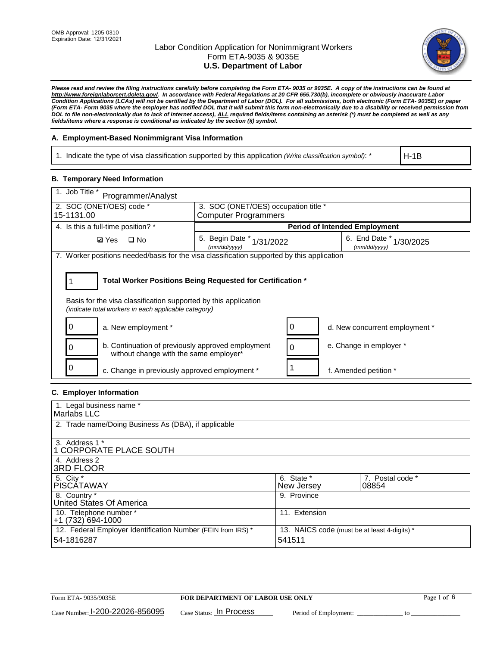

*Please read and review the filing instructions carefully before completing the Form ETA- 9035 or 9035E. A copy of the instructions can be found at http://www.foreignlaborcert.doleta.gov/. In accordance with Federal Regulations at 20 CFR 655.730(b), incomplete or obviously inaccurate Labor Condition Applications (LCAs) will not be certified by the Department of Labor (DOL). For all submissions, both electronic (Form ETA- 9035E) or paper (Form ETA- Form 9035 where the employer has notified DOL that it will submit this form non-electronically due to a disability or received permission from DOL to file non-electronically due to lack of Internet access), ALL required fields/items containing an asterisk (\*) must be completed as well as any fields/items where a response is conditional as indicated by the section (§) symbol.* 

### **A. Employment-Based Nonimmigrant Visa Information**

1. Indicate the type of visa classification supported by this application *(Write classification symbol)*: \*

H-1B

### **B. Temporary Need Information**

| 1. Job Title *<br>Programmer/Analyst                                                                                                                                                  |                                              |  |                                            |  |  |
|---------------------------------------------------------------------------------------------------------------------------------------------------------------------------------------|----------------------------------------------|--|--------------------------------------------|--|--|
| 2. SOC (ONET/OES) code *                                                                                                                                                              | 3. SOC (ONET/OES) occupation title *         |  |                                            |  |  |
| 15-1131.00                                                                                                                                                                            | <b>Computer Programmers</b>                  |  |                                            |  |  |
| 4. Is this a full-time position? *                                                                                                                                                    |                                              |  | <b>Period of Intended Employment</b>       |  |  |
| <b>Ø</b> Yes<br>$\square$ No                                                                                                                                                          | 5. Begin Date *<br>1/31/2022<br>(mm/dd/yyyy) |  | 6. End Date *<br>1/30/2025<br>(mm/dd/yyyy) |  |  |
| 7. Worker positions needed/basis for the visa classification supported by this application                                                                                            |                                              |  |                                            |  |  |
| Total Worker Positions Being Requested for Certification *<br>Basis for the visa classification supported by this application<br>(indicate total workers in each applicable category) |                                              |  |                                            |  |  |
| a. New employment *                                                                                                                                                                   |                                              |  | d. New concurrent employment *             |  |  |
| b. Continuation of previously approved employment<br>without change with the same employer*                                                                                           |                                              |  | e. Change in employer *                    |  |  |
| c. Change in previously approved employment *                                                                                                                                         |                                              |  | f. Amended petition *                      |  |  |

### **C. Employer Information**

| 1. Legal business name *                                                   |                                                        |                           |
|----------------------------------------------------------------------------|--------------------------------------------------------|---------------------------|
| Marlabs LLC                                                                |                                                        |                           |
| 2. Trade name/Doing Business As (DBA), if applicable                       |                                                        |                           |
| 3. Address 1 *<br>1 CORPORATE PLACE SOUTH<br>4. Address 2                  |                                                        |                           |
| <b>3RD FLOOR</b>                                                           |                                                        |                           |
| 5. City *<br><b>PISCÁTAWAY</b>                                             | 6. State *<br>New Jersey                               | 7. Postal code *<br>08854 |
| 8. Country *<br>United States Of America                                   | 9. Province                                            |                           |
| 10. Telephone number *<br>$+1(732)694-1000$                                | 11. Extension                                          |                           |
| 12. Federal Employer Identification Number (FEIN from IRS) *<br>54-1816287 | 13. NAICS code (must be at least 4-digits) *<br>541511 |                           |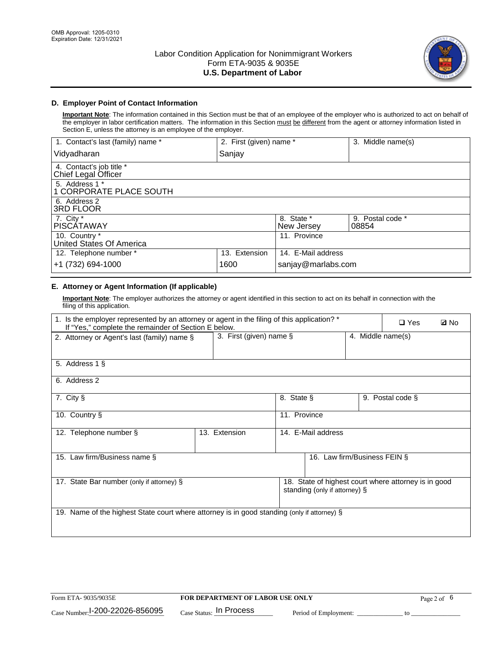

## **D. Employer Point of Contact Information**

**Important Note**: The information contained in this Section must be that of an employee of the employer who is authorized to act on behalf of the employer in labor certification matters. The information in this Section must be different from the agent or attorney information listed in Section E, unless the attorney is an employee of the employer.

| 1. Contact's last (family) name *               | 2. First (given) name * |                          | 3. Middle name(s)         |
|-------------------------------------------------|-------------------------|--------------------------|---------------------------|
| Vidyadharan                                     | Sanjay                  |                          |                           |
| 4. Contact's job title *<br>Chief Legal Officer |                         |                          |                           |
| 5. Address 1 *<br>1 CORPORATE PLACE SOUTH       |                         |                          |                           |
| 6. Address 2<br><b>3RD FLOOR</b>                |                         |                          |                           |
| 7. City *<br><b>PISCÁTAWAY</b>                  |                         | 8. State *<br>New Jersey | 9. Postal code *<br>08854 |
| 10. Country *<br>United States Of America       |                         | 11. Province             |                           |
| 12. Telephone number *                          | 13. Extension           | 14. E-Mail address       |                           |
| +1 (732) 694-1000                               | 1600                    | sanjay@marlabs.com       |                           |

# **E. Attorney or Agent Information (If applicable)**

**Important Note**: The employer authorizes the attorney or agent identified in this section to act on its behalf in connection with the filing of this application.

| 1. Is the employer represented by an attorney or agent in the filing of this application? *<br>If "Yes," complete the remainder of Section E below. |                         |              |                               |                   | $\Box$ Yes                                           | <b>ØNo</b> |
|-----------------------------------------------------------------------------------------------------------------------------------------------------|-------------------------|--------------|-------------------------------|-------------------|------------------------------------------------------|------------|
| 2. Attorney or Agent's last (family) name §                                                                                                         | 3. First (given) name § |              |                               | 4. Middle name(s) |                                                      |            |
| 5. Address 1 §                                                                                                                                      |                         |              |                               |                   |                                                      |            |
| 6. Address 2                                                                                                                                        |                         |              |                               |                   |                                                      |            |
| 7. City §                                                                                                                                           |                         | 8. State §   |                               |                   | 9. Postal code §                                     |            |
| 10. Country §                                                                                                                                       |                         | 11. Province |                               |                   |                                                      |            |
| 12. Telephone number §                                                                                                                              | 13. Extension           |              | 14. E-Mail address            |                   |                                                      |            |
| 15. Law firm/Business name §                                                                                                                        |                         |              | 16. Law firm/Business FEIN §  |                   |                                                      |            |
| 17. State Bar number (only if attorney) §                                                                                                           |                         |              | standing (only if attorney) § |                   | 18. State of highest court where attorney is in good |            |
| 19. Name of the highest State court where attorney is in good standing (only if attorney) §                                                         |                         |              |                               |                   |                                                      |            |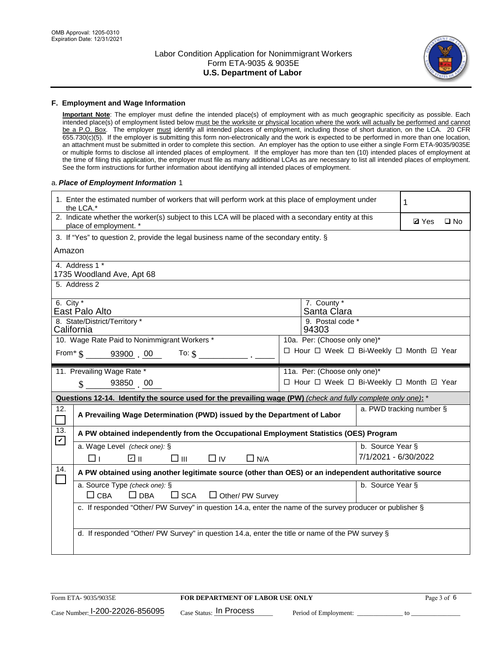

#### **F. Employment and Wage Information**

**Important Note**: The employer must define the intended place(s) of employment with as much geographic specificity as possible. Each intended place(s) of employment listed below must be the worksite or physical location where the work will actually be performed and cannot be a P.O. Box. The employer must identify all intended places of employment, including those of short duration, on the LCA. 20 CFR 655.730(c)(5). If the employer is submitting this form non-electronically and the work is expected to be performed in more than one location, an attachment must be submitted in order to complete this section. An employer has the option to use either a single Form ETA-9035/9035E or multiple forms to disclose all intended places of employment. If the employer has more than ten (10) intended places of employment at the time of filing this application, the employer must file as many additional LCAs as are necessary to list all intended places of employment. See the form instructions for further information about identifying all intended places of employment.

#### a.*Place of Employment Information* 1

| 1. Enter the estimated number of workers that will perform work at this place of employment under<br>the LCA.* | 1                                                                                                    |  |  |  |  |  |  |
|----------------------------------------------------------------------------------------------------------------|------------------------------------------------------------------------------------------------------|--|--|--|--|--|--|
| place of employment. *                                                                                         | 2. Indicate whether the worker(s) subject to this LCA will be placed with a secondary entity at this |  |  |  |  |  |  |
|                                                                                                                | 3. If "Yes" to question 2, provide the legal business name of the secondary entity. §                |  |  |  |  |  |  |
| Amazon                                                                                                         |                                                                                                      |  |  |  |  |  |  |
| 4. Address 1 *<br>1735 Woodland Ave, Apt 68                                                                    |                                                                                                      |  |  |  |  |  |  |
| 5. Address 2                                                                                                   |                                                                                                      |  |  |  |  |  |  |
| 6. City $*$<br>East Palo Alto                                                                                  | 7. County *<br>Santa Clara                                                                           |  |  |  |  |  |  |
| 8. State/District/Territory *<br>California                                                                    | 9. Postal code *<br>94303                                                                            |  |  |  |  |  |  |
| 10. Wage Rate Paid to Nonimmigrant Workers *                                                                   |                                                                                                      |  |  |  |  |  |  |
| □ Hour □ Week □ Bi-Weekly □ Month ☑ Year<br>From $\frac{1}{5}$ 93900 00 To: $\frac{1}{5}$                      |                                                                                                      |  |  |  |  |  |  |
| 11. Prevailing Wage Rate *<br>11a. Per: (Choose only one)*                                                     |                                                                                                      |  |  |  |  |  |  |
| 93850 00<br>$\mathcal{S}$                                                                                      | □ Hour □ Week □ Bi-Weekly □ Month ☑ Year                                                             |  |  |  |  |  |  |
| Questions 12-14. Identify the source used for the prevailing wage (PW) (check and fully complete only one): *  |                                                                                                      |  |  |  |  |  |  |
| 12.<br>$\Box$                                                                                                  | a. PWD tracking number §<br>A Prevailing Wage Determination (PWD) issued by the Department of Labor  |  |  |  |  |  |  |
| 13.<br>A PW obtained independently from the Occupational Employment Statistics (OES) Program<br>$\mathbf v$    |                                                                                                      |  |  |  |  |  |  |
| a. Wage Level (check one): §                                                                                   | b. Source Year §                                                                                     |  |  |  |  |  |  |
| பெ<br>$\square$ $\square$<br>□⊥<br>$\Box$ IV<br>$\Box$ N/A                                                     | 7/1/2021 - 6/30/2022                                                                                 |  |  |  |  |  |  |
| 14.<br>A PW obtained using another legitimate source (other than OES) or an independent authoritative source   |                                                                                                      |  |  |  |  |  |  |
| a. Source Type (check one): §<br>$\Box$ CBA<br>$\Box$ DBA<br>$\square$ SCA<br>$\Box$ Other/ PW Survey          | b. Source Year §                                                                                     |  |  |  |  |  |  |
| c. If responded "Other/ PW Survey" in question 14.a, enter the name of the survey producer or publisher §      |                                                                                                      |  |  |  |  |  |  |
| d. If responded "Other/ PW Survey" in question 14.a, enter the title or name of the PW survey §                |                                                                                                      |  |  |  |  |  |  |
|                                                                                                                |                                                                                                      |  |  |  |  |  |  |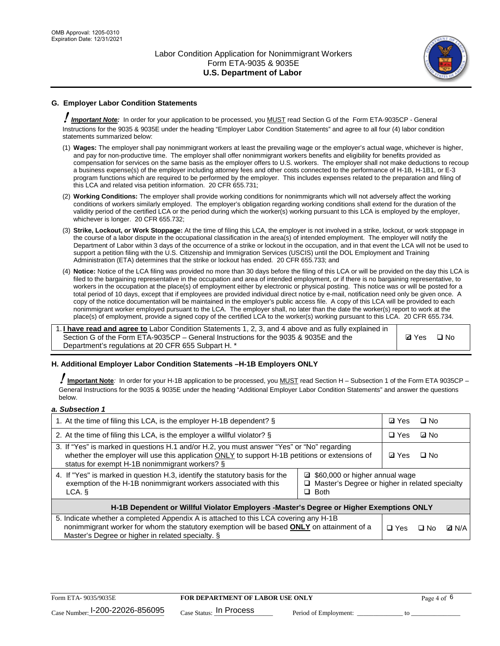

# **G. Employer Labor Condition Statements**

! *Important Note:* In order for your application to be processed, you MUST read Section G of the Form ETA-9035CP - General Instructions for the 9035 & 9035E under the heading "Employer Labor Condition Statements" and agree to all four (4) labor condition statements summarized below:

- (1) **Wages:** The employer shall pay nonimmigrant workers at least the prevailing wage or the employer's actual wage, whichever is higher, and pay for non-productive time. The employer shall offer nonimmigrant workers benefits and eligibility for benefits provided as compensation for services on the same basis as the employer offers to U.S. workers. The employer shall not make deductions to recoup a business expense(s) of the employer including attorney fees and other costs connected to the performance of H-1B, H-1B1, or E-3 program functions which are required to be performed by the employer. This includes expenses related to the preparation and filing of this LCA and related visa petition information. 20 CFR 655.731;
- (2) **Working Conditions:** The employer shall provide working conditions for nonimmigrants which will not adversely affect the working conditions of workers similarly employed. The employer's obligation regarding working conditions shall extend for the duration of the validity period of the certified LCA or the period during which the worker(s) working pursuant to this LCA is employed by the employer, whichever is longer. 20 CFR 655.732;
- (3) **Strike, Lockout, or Work Stoppage:** At the time of filing this LCA, the employer is not involved in a strike, lockout, or work stoppage in the course of a labor dispute in the occupational classification in the area(s) of intended employment. The employer will notify the Department of Labor within 3 days of the occurrence of a strike or lockout in the occupation, and in that event the LCA will not be used to support a petition filing with the U.S. Citizenship and Immigration Services (USCIS) until the DOL Employment and Training Administration (ETA) determines that the strike or lockout has ended. 20 CFR 655.733; and
- (4) **Notice:** Notice of the LCA filing was provided no more than 30 days before the filing of this LCA or will be provided on the day this LCA is filed to the bargaining representative in the occupation and area of intended employment, or if there is no bargaining representative, to workers in the occupation at the place(s) of employment either by electronic or physical posting. This notice was or will be posted for a total period of 10 days, except that if employees are provided individual direct notice by e-mail, notification need only be given once. A copy of the notice documentation will be maintained in the employer's public access file. A copy of this LCA will be provided to each nonimmigrant worker employed pursuant to the LCA. The employer shall, no later than the date the worker(s) report to work at the place(s) of employment, provide a signed copy of the certified LCA to the worker(s) working pursuant to this LCA. 20 CFR 655.734.

1. **I have read and agree to** Labor Condition Statements 1, 2, 3, and 4 above and as fully explained in Section G of the Form ETA-9035CP – General Instructions for the 9035 & 9035E and the Department's regulations at 20 CFR 655 Subpart H. \*

**Ø**Yes ロNo

### **H. Additional Employer Labor Condition Statements –H-1B Employers ONLY**

!**Important Note***:* In order for your H-1B application to be processed, you MUST read Section H – Subsection 1 of the Form ETA 9035CP – General Instructions for the 9035 & 9035E under the heading "Additional Employer Labor Condition Statements" and answer the questions below.

#### *a. Subsection 1*

| 1. At the time of filing this LCA, is the employer H-1B dependent? §                                                                                                                                                                           |                                                                                                     | ⊡ Yes | □ No         |  |  |
|------------------------------------------------------------------------------------------------------------------------------------------------------------------------------------------------------------------------------------------------|-----------------------------------------------------------------------------------------------------|-------|--------------|--|--|
| 2. At the time of filing this LCA, is the employer a willful violator? $\S$                                                                                                                                                                    |                                                                                                     |       | ⊡ No         |  |  |
| 3. If "Yes" is marked in questions H.1 and/or H.2, you must answer "Yes" or "No" regarding<br>whether the employer will use this application ONLY to support H-1B petitions or extensions of<br>status for exempt H-1B nonimmigrant workers? § |                                                                                                     |       | $\Box$ No    |  |  |
| 4. If "Yes" is marked in question H.3, identify the statutory basis for the<br>exemption of the H-1B nonimmigrant workers associated with this<br>LCA.                                                                                         | ■ \$60,000 or higher annual wage<br>□ Master's Degree or higher in related specialty<br>$\Box$ Both |       |              |  |  |
| H-1B Dependent or Willful Violator Employers -Master's Degree or Higher Exemptions ONLY                                                                                                                                                        |                                                                                                     |       |              |  |  |
| 5. Indicate whether a completed Appendix A is attached to this LCA covering any H-1B<br>nonimmigrant worker for whom the statutory exemption will be based <b>ONLY</b> on attainment of a<br>Master's Degree or higher in related specialty. § | $\Box$ Yes                                                                                          | ⊡ No  | <b>D</b> N/A |  |  |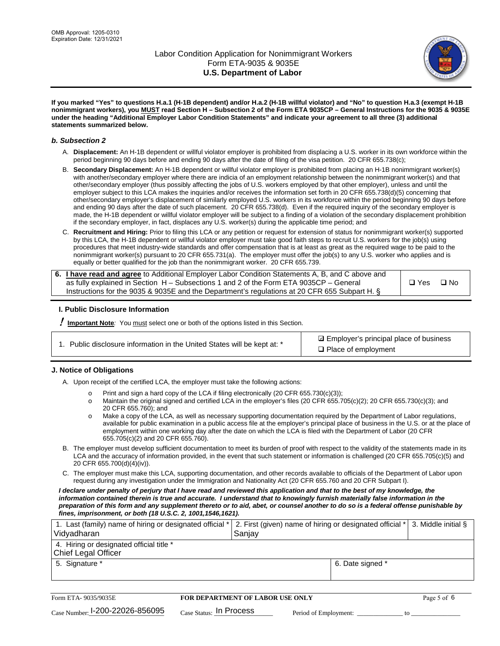

**If you marked "Yes" to questions H.a.1 (H-1B dependent) and/or H.a.2 (H-1B willful violator) and "No" to question H.a.3 (exempt H-1B nonimmigrant workers), you MUST read Section H – Subsection 2 of the Form ETA 9035CP – General Instructions for the 9035 & 9035E under the heading "Additional Employer Labor Condition Statements" and indicate your agreement to all three (3) additional statements summarized below.**

#### *b. Subsection 2*

- A. **Displacement:** An H-1B dependent or willful violator employer is prohibited from displacing a U.S. worker in its own workforce within the period beginning 90 days before and ending 90 days after the date of filing of the visa petition. 20 CFR 655.738(c);
- B. **Secondary Displacement:** An H-1B dependent or willful violator employer is prohibited from placing an H-1B nonimmigrant worker(s) with another/secondary employer where there are indicia of an employment relationship between the nonimmigrant worker(s) and that other/secondary employer (thus possibly affecting the jobs of U.S. workers employed by that other employer), unless and until the employer subject to this LCA makes the inquiries and/or receives the information set forth in 20 CFR 655.738(d)(5) concerning that other/secondary employer's displacement of similarly employed U.S. workers in its workforce within the period beginning 90 days before and ending 90 days after the date of such placement. 20 CFR 655.738(d). Even if the required inquiry of the secondary employer is made, the H-1B dependent or willful violator employer will be subject to a finding of a violation of the secondary displacement prohibition if the secondary employer, in fact, displaces any U.S. worker(s) during the applicable time period; and
- C. **Recruitment and Hiring:** Prior to filing this LCA or any petition or request for extension of status for nonimmigrant worker(s) supported by this LCA, the H-1B dependent or willful violator employer must take good faith steps to recruit U.S. workers for the job(s) using procedures that meet industry-wide standards and offer compensation that is at least as great as the required wage to be paid to the nonimmigrant worker(s) pursuant to 20 CFR 655.731(a). The employer must offer the job(s) to any U.S. worker who applies and is equally or better qualified for the job than the nonimmigrant worker. 20 CFR 655.739.

| 6. I have read and agree to Additional Employer Labor Condition Statements A, B, and C above and |       |           |
|--------------------------------------------------------------------------------------------------|-------|-----------|
| as fully explained in Section H – Subsections 1 and 2 of the Form ETA 9035CP – General           | □ Yes | $\Box$ No |
| Instructions for the 9035 & 9035E and the Department's regulations at 20 CFR 655 Subpart H. §    |       |           |

### **I. Public Disclosure Information**

! **Important Note***:* You must select one or both of the options listed in this Section.

| 1. Public disclosure information in the United States will be kept at: * |  |  |  |  |  |  |  |
|--------------------------------------------------------------------------|--|--|--|--|--|--|--|
|--------------------------------------------------------------------------|--|--|--|--|--|--|--|

**sqrt** Employer's principal place of business □ Place of employment

### **J. Notice of Obligations**

A. Upon receipt of the certified LCA, the employer must take the following actions:

- o Print and sign a hard copy of the LCA if filing electronically (20 CFR 655.730(c)(3));<br>
Maintain the original signed and certified LCA in the employer's files (20 CFR 655.7
- Maintain the original signed and certified LCA in the employer's files (20 CFR 655.705(c)(2); 20 CFR 655.730(c)(3); and 20 CFR 655.760); and
- o Make a copy of the LCA, as well as necessary supporting documentation required by the Department of Labor regulations, available for public examination in a public access file at the employer's principal place of business in the U.S. or at the place of employment within one working day after the date on which the LCA is filed with the Department of Labor (20 CFR 655.705(c)(2) and 20 CFR 655.760).
- B. The employer must develop sufficient documentation to meet its burden of proof with respect to the validity of the statements made in its LCA and the accuracy of information provided, in the event that such statement or information is challenged (20 CFR 655.705(c)(5) and 20 CFR 655.700(d)(4)(iv)).
- C. The employer must make this LCA, supporting documentation, and other records available to officials of the Department of Labor upon request during any investigation under the Immigration and Nationality Act (20 CFR 655.760 and 20 CFR Subpart I).

*I declare under penalty of perjury that I have read and reviewed this application and that to the best of my knowledge, the*  information contained therein is true and accurate. I understand that to knowingly furnish materially false information in the *preparation of this form and any supplement thereto or to aid, abet, or counsel another to do so is a federal offense punishable by fines, imprisonment, or both (18 U.S.C. 2, 1001,1546,1621).*

| 1. Last (family) name of hiring or designated official *   2. First (given) name of hiring or designated official *   3. Middle initial §<br>Vidyadharan | Saniav           |  |
|----------------------------------------------------------------------------------------------------------------------------------------------------------|------------------|--|
| 4. Hiring or designated official title *<br>Chief Legal Officer                                                                                          |                  |  |
| 5. Signature *                                                                                                                                           | 6. Date signed * |  |

| Form ETA-9035/9035E                         | <b>FOR DEPARTMENT OF LABOR USE ONLY</b> | Page 5 of 6           |  |
|---------------------------------------------|-----------------------------------------|-----------------------|--|
| $_{\text{Case Number:}}$ I-200-22026-856095 | $_{\text{Case Status:}}$ In Process     | Period of Employment: |  |